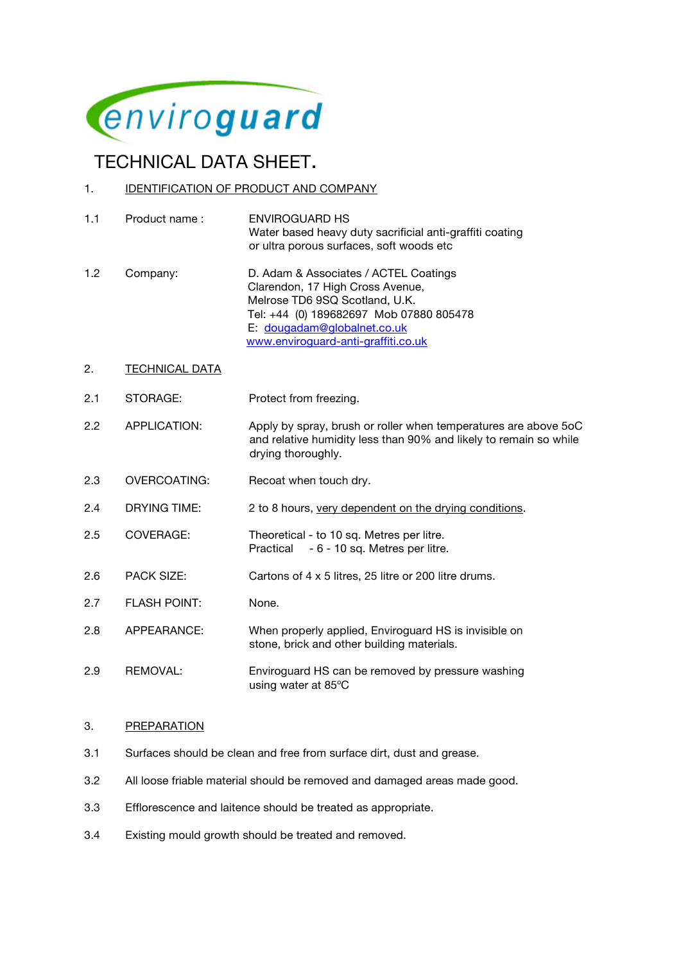

# **TECHNICAL DATA SHEET.**<br>1. IDENTIFICATION OF PRODUCT AND COMPANY

- 1.1 Product name : ENVIROGUARD HS Water based heavy duty sacrificial anti-graffiti coating or ultra porous surfaces, soft woods etc
- 1.2 Company: D. Adam & Associates / ACTEL Coatings Clarendon, 17 High Cross Avenue, Melrose TD6 9SQ Scotland, U.K. Tel: +44 (0) 189682697 Mob 07880 805478 E: dougadam@globalnet.co.uk www.enviroguard-anti-graffiti.co.uk
- 2. TECHNICAL DATA
- 2.1 STORAGE: Protect from freezing.
- 2.2 APPLICATION: Apply by spray, brush or roller when temperatures are above 5oC and relative humidity less than 90% and likely to remain so while drying thoroughly.
- 2.3 OVERCOATING: Recoat when touch dry.
- 2.4 DRYING TIME: 2 to 8 hours, very dependent on the drying conditions.
- 2.5 COVERAGE: Theoretical to 10 sq. Metres per litre. Practical - 6 - 10 sq. Metres per litre.
- 2.6 PACK SIZE: Cartons of 4 x 5 litres, 25 litre or 200 litre drums.
- 2.7 FLASH POINT: None.
- 2.8 APPEARANCE: When properly applied, Enviroguard HS is invisible on stone, brick and other building materials.
- 2.9 REMOVAL: Enviroguard HS can be removed by pressure washing using water at 85°C

#### 3. PREPARATION

- 3.1 Surfaces should be clean and free from surface dirt, dust and grease.
- 3.2 All loose friable material should be removed and damaged areas made good.
- 3.3 Efflorescence and laitence should be treated as appropriate.
- 3.4 Existing mould growth should be treated and removed.